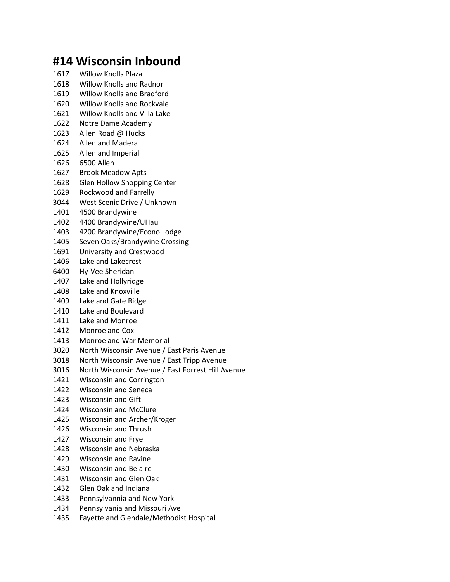## **#14 Wisconsin Inbound**

- Willow Knolls Plaza
- Willow Knolls and Radnor
- Willow Knolls and Bradford
- Willow Knolls and Rockvale
- Willow Knolls and Villa Lake
- Notre Dame Academy
- Allen Road @ Hucks
- Allen and Madera
- Allen and Imperial
- 6500 Allen
- Brook Meadow Apts
- Glen Hollow Shopping Center
- Rockwood and Farrelly
- West Scenic Drive / Unknown
- 4500 Brandywine
- 4400 Brandywine/UHaul
- 4200 Brandywine/Econo Lodge
- Seven Oaks/Brandywine Crossing
- University and Crestwood
- Lake and Lakecrest
- Hy-Vee Sheridan
- Lake and Hollyridge
- Lake and Knoxville
- Lake and Gate Ridge
- Lake and Boulevard
- Lake and Monroe
- Monroe and Cox
- Monroe and War Memorial
- North Wisconsin Avenue / East Paris Avenue
- North Wisconsin Avenue / East Tripp Avenue
- North Wisconsin Avenue / East Forrest Hill Avenue
- Wisconsin and Corrington
- Wisconsin and Seneca
- Wisconsin and Gift
- Wisconsin and McClure
- Wisconsin and Archer/Kroger
- Wisconsin and Thrush
- Wisconsin and Frye
- Wisconsin and Nebraska
- Wisconsin and Ravine
- Wisconsin and Belaire
- Wisconsin and Glen Oak
- Glen Oak and Indiana
- Pennsylvannia and New York
- Pennsylvania and Missouri Ave
- Fayette and Glendale/Methodist Hospital